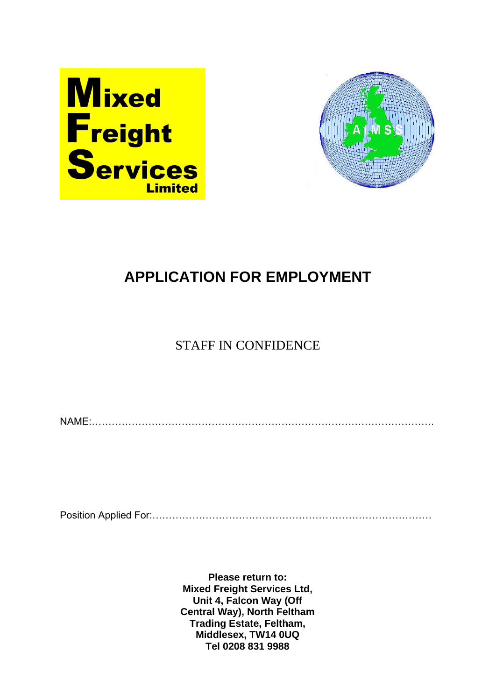



# **APPLICATION FOR EMPLOYMENT**

### STAFF IN CONFIDENCE

NAME:………………………………………………………………………………………….

Position Applied For:…………………………………………………………………………

**Please return to: Mixed Freight Services Ltd, Unit 4, Falcon Way (Off Central Way), North Feltham Trading Estate, Feltham, Middlesex, TW14 0UQ Tel 0208 831 9988**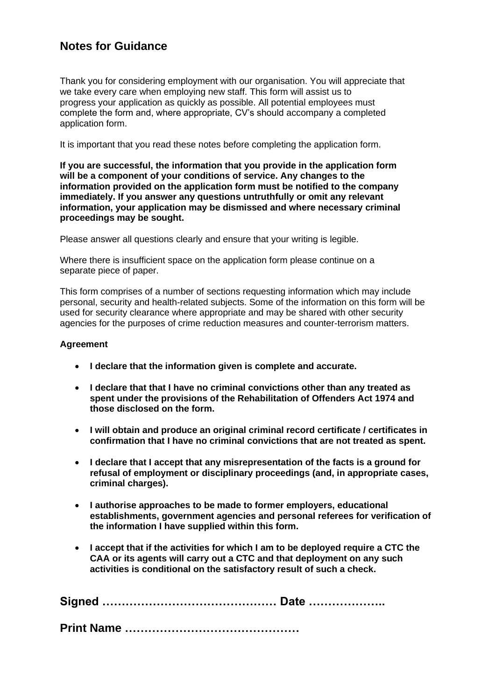### **Notes for Guidance**

Thank you for considering employment with our organisation. You will appreciate that we take every care when employing new staff. This form will assist us to progress your application as quickly as possible. All potential employees must complete the form and, where appropriate, CV's should accompany a completed application form.

It is important that you read these notes before completing the application form.

**If you are successful, the information that you provide in the application form will be a component of your conditions of service. Any changes to the information provided on the application form must be notified to the company immediately. If you answer any questions untruthfully or omit any relevant information, your application may be dismissed and where necessary criminal proceedings may be sought.**

Please answer all questions clearly and ensure that your writing is legible.

Where there is insufficient space on the application form please continue on a separate piece of paper.

This form comprises of a number of sections requesting information which may include personal, security and health-related subjects. Some of the information on this form will be used for security clearance where appropriate and may be shared with other security agencies for the purposes of crime reduction measures and counter-terrorism matters.

#### **Agreement**

- **I declare that the information given is complete and accurate.**
- **I declare that that I have no criminal convictions other than any treated as spent under the provisions of the Rehabilitation of Offenders Act 1974 and those disclosed on the form.**
- **I will obtain and produce an original criminal record certificate / certificates in confirmation that I have no criminal convictions that are not treated as spent.**
- **I declare that I accept that any misrepresentation of the facts is a ground for refusal of employment or disciplinary proceedings (and, in appropriate cases, criminal charges).**
- **I authorise approaches to be made to former employers, educational establishments, government agencies and personal referees for verification of the information I have supplied within this form.**
- **I accept that if the activities for which I am to be deployed require a CTC the CAA or its agents will carry out a CTC and that deployment on any such activities is conditional on the satisfactory result of such a check.**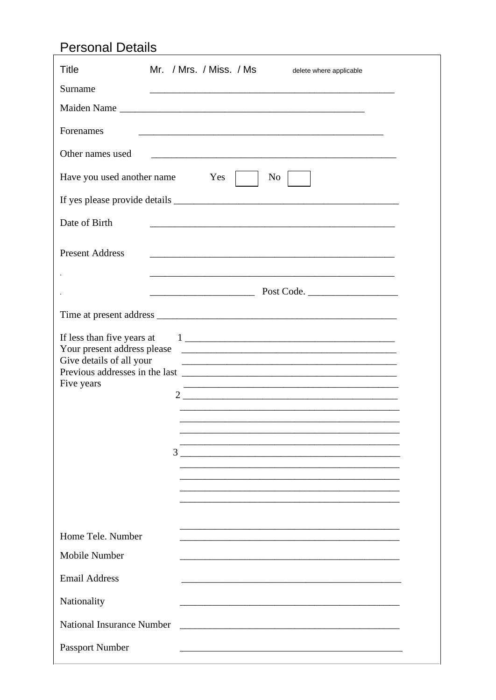## **Personal Details**

| <b>Title</b>                                                         | Mr. / Mrs. / Miss. / Ms<br>delete where applicable                                        |
|----------------------------------------------------------------------|-------------------------------------------------------------------------------------------|
| Surname                                                              | the control of the control of the control of the control of the control of the control of |
|                                                                      | Maiden Name                                                                               |
| Forenames                                                            |                                                                                           |
| Other names used                                                     |                                                                                           |
| Have you used another name                                           | Yes  <br>$\overline{N_0}$                                                                 |
|                                                                      |                                                                                           |
| Date of Birth                                                        |                                                                                           |
| <b>Present Address</b>                                               |                                                                                           |
|                                                                      |                                                                                           |
|                                                                      |                                                                                           |
|                                                                      |                                                                                           |
| If less than five years at<br>Give details of all your<br>Five years | 3                                                                                         |
| Home Tele, Number                                                    |                                                                                           |
| Mobile Number                                                        |                                                                                           |
| <b>Email Address</b>                                                 |                                                                                           |
| Nationality                                                          |                                                                                           |
| <b>National Insurance Number</b>                                     |                                                                                           |
| <b>Passport Number</b>                                               |                                                                                           |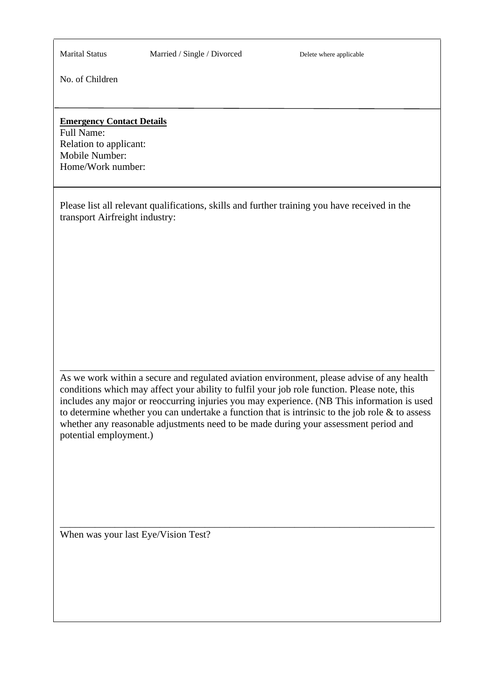Marital Status Married / Single / Divorced Delete where applicable

No. of Children

#### **Emergency Contact Details**

Full Name: Relation to applicant: Mobile Number: Home/Work number:

Please list all relevant qualifications, skills and further training you have received in the transport Airfreight industry:

As we work within a secure and regulated aviation environment, please advise of any health conditions which may affect your ability to fulfil your job role function. Please note, this includes any major or reoccurring injuries you may experience. (NB This information is used to determine whether you can undertake a function that is intrinsic to the job role  $\&$  to assess whether any reasonable adjustments need to be made during your assessment period and potential employment.)

\_\_\_\_\_\_\_\_\_\_\_\_\_\_\_\_\_\_\_\_\_\_\_\_\_\_\_\_\_\_\_\_\_\_\_\_\_\_\_\_\_\_\_\_\_\_\_\_\_\_\_\_\_\_\_\_\_\_\_\_\_\_\_\_\_\_\_\_\_\_\_\_\_\_\_

\_\_\_\_\_\_\_\_\_\_\_\_\_\_\_\_\_\_\_\_\_\_\_\_\_\_\_\_\_\_\_\_\_\_\_\_\_\_\_\_\_\_\_\_\_\_\_\_\_\_\_\_\_\_\_\_\_\_\_\_\_\_\_\_\_\_\_\_\_\_\_\_\_\_\_

When was your last Eye/Vision Test?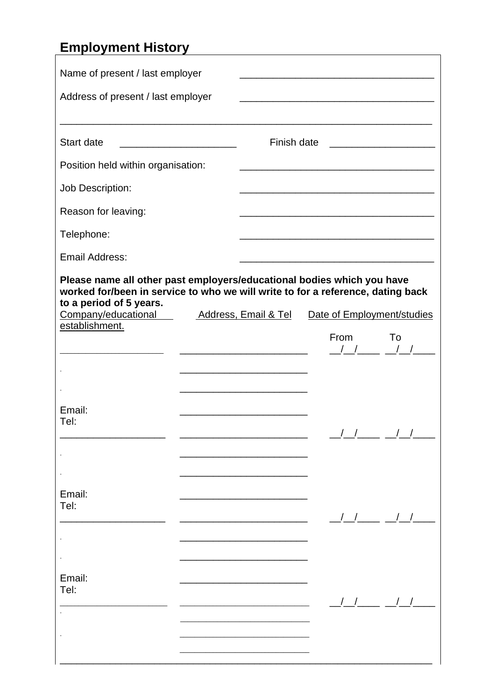# **Employment History**

| Name of present / last employer<br>Address of present / last employer                                                                                                                                       |  |                      |                                                                                                                                                                                                                                                                                                                                                                                                                                      |                                                                                                 |
|-------------------------------------------------------------------------------------------------------------------------------------------------------------------------------------------------------------|--|----------------------|--------------------------------------------------------------------------------------------------------------------------------------------------------------------------------------------------------------------------------------------------------------------------------------------------------------------------------------------------------------------------------------------------------------------------------------|-------------------------------------------------------------------------------------------------|
| Start date                                                                                                                                                                                                  |  | Finish date          |                                                                                                                                                                                                                                                                                                                                                                                                                                      |                                                                                                 |
| Position held within organisation:                                                                                                                                                                          |  |                      | <u> 1989 - Johann Stein, marwolaethau a bhann an t-Amhair ann an t-Amhair an t-Amhair an t-Amhair an t-Amhair an</u>                                                                                                                                                                                                                                                                                                                 |                                                                                                 |
| Job Description:                                                                                                                                                                                            |  |                      |                                                                                                                                                                                                                                                                                                                                                                                                                                      |                                                                                                 |
| Reason for leaving:                                                                                                                                                                                         |  |                      | <u> 1989 - Johann John Stone, mars et al. (</u>                                                                                                                                                                                                                                                                                                                                                                                      |                                                                                                 |
| Telephone:                                                                                                                                                                                                  |  |                      |                                                                                                                                                                                                                                                                                                                                                                                                                                      |                                                                                                 |
| <b>Email Address:</b>                                                                                                                                                                                       |  |                      |                                                                                                                                                                                                                                                                                                                                                                                                                                      |                                                                                                 |
| Please name all other past employers/educational bodies which you have<br>worked for/been in service to who we will write to for a reference, dating back<br>to a period of 5 years.<br>Company/educational |  | Address, Email & Tel | Date of Employment/studies                                                                                                                                                                                                                                                                                                                                                                                                           |                                                                                                 |
| establishment.                                                                                                                                                                                              |  |                      | <b>From</b><br>$\frac{1}{\sqrt{1-\frac{1}{2-\frac{1}{2-\frac{1}{2-\frac{1}{2-\frac{1}{2-\frac{1}{2-\frac{1}{2-\frac{1}{2-\frac{1}{2-\frac{1}{2-\frac{1}{2-\frac{1}{2-\frac{1}{2-\frac{1}{2-\frac{1}{2-\frac{1}{2-\frac{1}{2-\frac{1}{2-\frac{1}{2-\frac{1}{2-\frac{1}{2-\frac{1}{2-\frac{1}{2-\frac{1}{2-\frac{1}{2-\frac{1}{2-\frac{1}{2-\frac{1}{2-\frac{1}{2-\frac{1}{2-\frac{1}{2-\frac{1}{2-\frac{1}{2-\frac{1}{2-\frac{1}{2-\$ | To                                                                                              |
| Email:<br>Tel:                                                                                                                                                                                              |  |                      |                                                                                                                                                                                                                                                                                                                                                                                                                                      | $\begin{array}{ccc} \cdot & \cdot & \cdot & \cdot \\ \cdot & \cdot & \cdot & \cdot \end{array}$ |
|                                                                                                                                                                                                             |  |                      |                                                                                                                                                                                                                                                                                                                                                                                                                                      |                                                                                                 |
| Email:<br>Tel:                                                                                                                                                                                              |  |                      | $\left  \begin{array}{cc} \end{array} \right $                                                                                                                                                                                                                                                                                                                                                                                       |                                                                                                 |
|                                                                                                                                                                                                             |  |                      |                                                                                                                                                                                                                                                                                                                                                                                                                                      |                                                                                                 |
| Email:<br>Tel:                                                                                                                                                                                              |  |                      |                                                                                                                                                                                                                                                                                                                                                                                                                                      | $\begin{array}{ccc} \end{array}$ $\begin{array}{ccc} \end{array}$                               |
|                                                                                                                                                                                                             |  |                      |                                                                                                                                                                                                                                                                                                                                                                                                                                      |                                                                                                 |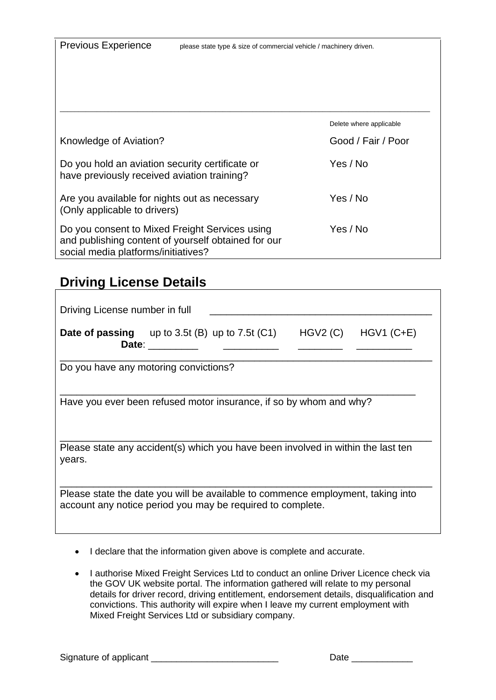Previous Experience please state type & size of commercial vehicle / machinery driven.

|                                                                                                                                              | Delete where applicable |
|----------------------------------------------------------------------------------------------------------------------------------------------|-------------------------|
| Knowledge of Aviation?                                                                                                                       | Good / Fair / Poor      |
| Do you hold an aviation security certificate or<br>have previously received aviation training?                                               | Yes / No                |
| Are you available for nights out as necessary<br>(Only applicable to drivers)                                                                | Yes / No                |
| Do you consent to Mixed Freight Services using<br>and publishing content of yourself obtained for our<br>social media platforms/initiatives? | Yes / No                |

### **Driving License Details**

| Driving License number in full                                                                                                                |                |  |         |             |
|-----------------------------------------------------------------------------------------------------------------------------------------------|----------------|--|---------|-------------|
| <b>Date of passing</b> up to 3.5t (B) up to 7.5t (C1)                                                                                         | Date: ________ |  | HGV2(C) | $HGV1(C+E)$ |
| Do you have any motoring convictions?                                                                                                         |                |  |         |             |
| Have you ever been refused motor insurance, if so by whom and why?                                                                            |                |  |         |             |
| Please state any accident(s) which you have been involved in within the last ten<br>years.                                                    |                |  |         |             |
| Please state the date you will be available to commence employment, taking into<br>account any notice period you may be required to complete. |                |  |         |             |

- I declare that the information given above is complete and accurate.
- I authorise Mixed Freight Services Ltd to conduct an online Driver Licence check via the GOV UK website portal. The information gathered will relate to my personal details for driver record, driving entitlement, endorsement details, disqualification and convictions. This authority will expire when I leave my current employment with Mixed Freight Services Ltd or subsidiary company.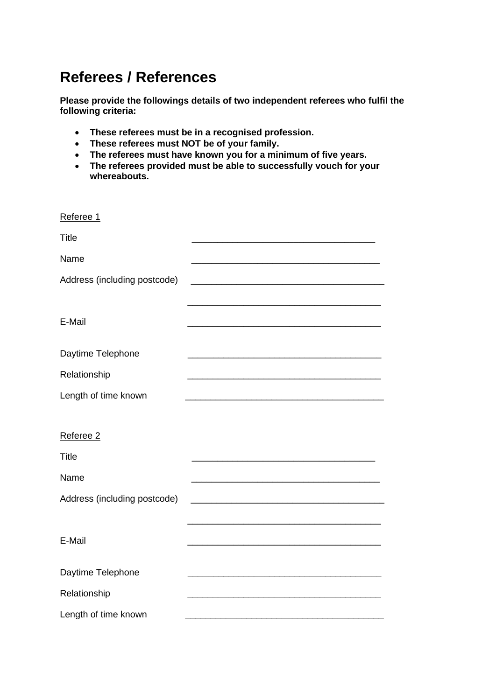## **Referees / References**

**Please provide the followings details of two independent referees who fulfil the following criteria:**

- **These referees must be in a recognised profession.**
- **These referees must NOT be of your family.**
- **The referees must have known you for a minimum of five years.**
- **The referees provided must be able to successfully vouch for your whereabouts.**

| Referee 1                    |  |
|------------------------------|--|
| <b>Title</b>                 |  |
| Name                         |  |
| Address (including postcode) |  |
|                              |  |
| E-Mail                       |  |
| Daytime Telephone            |  |
|                              |  |
| Relationship                 |  |
| Length of time known         |  |
|                              |  |
| Referee 2                    |  |
| <b>Title</b>                 |  |
| Name                         |  |
| Address (including postcode) |  |
|                              |  |
| E-Mail                       |  |
|                              |  |
| Daytime Telephone            |  |
| Relationship                 |  |
| Length of time known         |  |